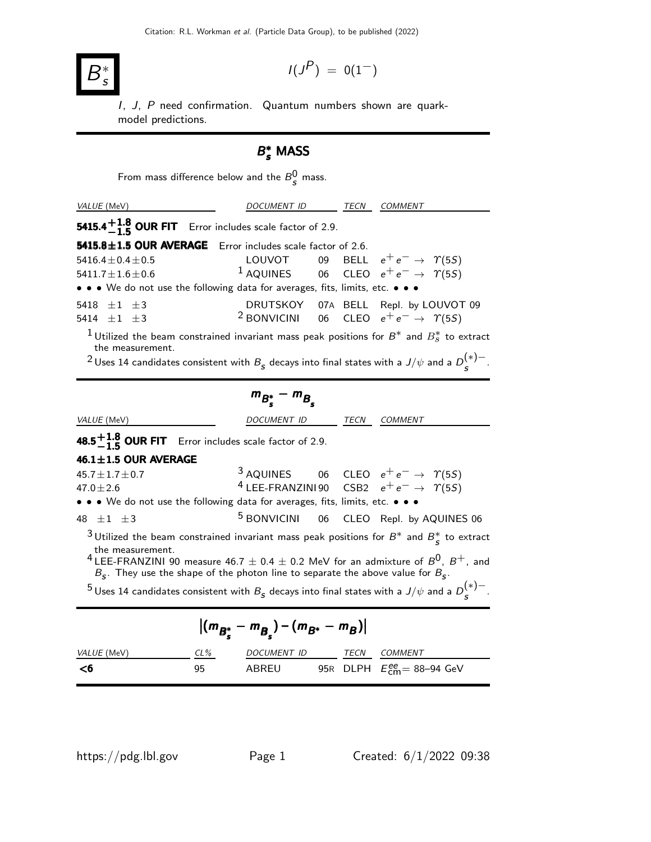

$$
I(J^P) \ = \ 0(1^-)
$$

I, J, P need confirmation. Quantum numbers shown are quarkmodel predictions.

## $B_s^*$  MASS

From mass difference below and the  $B_{\mathcal{S}}^0$  mass.

| VALUE (MeV)                                                                                                                                                                                                                                                      | DOCUMENT ID | TECN | <b>COMMENT</b>                                                                                                                                                                                                                                                      |  |  |  |
|------------------------------------------------------------------------------------------------------------------------------------------------------------------------------------------------------------------------------------------------------------------|-------------|------|---------------------------------------------------------------------------------------------------------------------------------------------------------------------------------------------------------------------------------------------------------------------|--|--|--|
| 5415.4 $\frac{+1.8}{-1.5}$ OUR FIT Error includes scale factor of 2.9.                                                                                                                                                                                           |             |      |                                                                                                                                                                                                                                                                     |  |  |  |
| 5415.8±1.5 OUR AVERAGE Error includes scale factor of 2.6.                                                                                                                                                                                                       |             |      |                                                                                                                                                                                                                                                                     |  |  |  |
| $5416.4 \pm 0.4 \pm 0.5$<br>$5411.7 \pm 1.6 \pm 0.6$                                                                                                                                                                                                             |             |      | $1\,\textnormal{AQUVOT} \quad \quad \textnormal{09} \quad \textnormal{BELL} \quad e^+ \,e^- \rightarrow \ \ \Upsilon(5S) \ \quad \quad \  1\,\textnormal{AQUINES} \quad \quad \textnormal{06} \quad \textnormal{CLEO} \quad e^+ \,e^- \rightarrow \ \ \Upsilon(5S)$ |  |  |  |
| • • • We do not use the following data for averages, fits, limits, etc. • • •                                                                                                                                                                                    |             |      |                                                                                                                                                                                                                                                                     |  |  |  |
| 5418 $\pm 1$ $\pm 3$<br>5414 $\pm 1$ $\pm 3$                                                                                                                                                                                                                     |             |      | DRUTSKOY 07A BELL Repl. by LOUVOT 09<br><sup>2</sup> BONVICINI 06 CLEO $e^+e^- \rightarrow \gamma(55)$                                                                                                                                                              |  |  |  |
| <sup>1</sup> Utilized the beam constrained invariant mass peak positions for $B^*$ and $B^*_s$ to extract<br>the measurement.<br><sup>2</sup> Uses 14 candidates consistent with $B_{\rm s}$ decays into final states with a $J/\psi$ and a $D_{\rm s}^{(*)-}$ . |             |      |                                                                                                                                                                                                                                                                     |  |  |  |

## $m_{B_s^*} - m_{B_s^*}$

| VALUE (MeV)                                                                                               |        | DOCUMENT ID              |  |  | TECN COMMENT                                                                                                                     |  |  |  |
|-----------------------------------------------------------------------------------------------------------|--------|--------------------------|--|--|----------------------------------------------------------------------------------------------------------------------------------|--|--|--|
| 48.5 $+1.8$ OUR FIT Error includes scale factor of 2.9.                                                   |        |                          |  |  |                                                                                                                                  |  |  |  |
| 46.1 $\pm$ 1.5 OUR AVERAGE                                                                                |        |                          |  |  |                                                                                                                                  |  |  |  |
| $45.7 \pm 1.7 \pm 0.7$                                                                                    |        |                          |  |  | <sup>3</sup> AQUINES 06 CLEO $e^+e^- \rightarrow \gamma(55)$<br><sup>4</sup> LEE-FRANZINI90 CSB2 $e^+e^- \rightarrow \gamma(55)$ |  |  |  |
| $47.0 \pm 2.6$                                                                                            |        |                          |  |  |                                                                                                                                  |  |  |  |
| • • • We do not use the following data for averages, fits, limits, etc. • • •                             |        |                          |  |  |                                                                                                                                  |  |  |  |
| 48 $\pm 1$ $\pm 3$                                                                                        |        |                          |  |  | <sup>5</sup> BONVICINI 06 CLEO Repl. by AQUINES 06                                                                               |  |  |  |
|                                                                                                           |        |                          |  |  | <sup>3</sup> Utilized the beam constrained invariant mass peak positions for $B^*$ and $B^*_s$ to extract                        |  |  |  |
| the measurement.<br>$B_s$ . They use the shape of the photon line to separate the above value for $B_s$ . |        |                          |  |  | <sup>4</sup> LEE-FRANZINI 90 measure 46.7 $\pm$ 0.4 $\pm$ 0.2 MeV for an admixture of $B^0$ , $B^+$ , and                        |  |  |  |
|                                                                                                           |        |                          |  |  | <sup>5</sup> Uses 14 candidates consistent with $B_{\rm s}$ decays into final states with a $J/\psi$ and a $D_{\rm s}^{(*)-}$ .  |  |  |  |
| $ (m_{B^*_{\epsilon}} - m_{B_{\epsilon}}) - (m_{B^*} - m_B) $                                             |        |                          |  |  |                                                                                                                                  |  |  |  |
| VALUE (MeV)                                                                                               | $CL\%$ | DOCUMENT ID TECN COMMENT |  |  |                                                                                                                                  |  |  |  |
| <6                                                                                                        | 95     |                          |  |  | ABREU 95R DLPH $E_{cm}^{ee} = 88-94$ GeV                                                                                         |  |  |  |